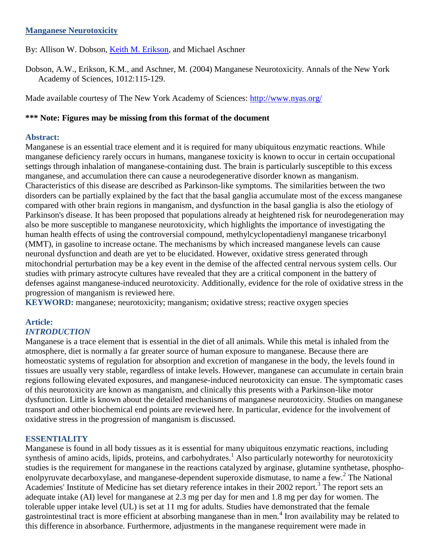## **Manganese Neurotoxicity**

By: Allison W. Dobson, [Keith M. Erikson,](http://libres.uncg.edu/ir/uncg/clist.aspx?id=1296) and Michael Aschner

Dobson, A.W., Erikson, K.M., and Aschner, M. (2004) Manganese Neurotoxicity. Annals of the New York Academy of Sciences, 1012:115-129.

Made available courtesy of The New York Academy of Sciences:<http://www.nyas.org/>

## **\*\*\* Note: Figures may be missing from this format of the document**

#### **Abstract:**

Manganese is an essential trace element and it is required for many ubiquitous enzymatic reactions. While manganese deficiency rarely occurs in humans, manganese toxicity is known to occur in certain occupational settings through inhalation of manganese-containing dust. The brain is particularly susceptible to this excess manganese, and accumulation there can cause a neurodegenerative disorder known as manganism. Characteristics of this disease are described as Parkinson-like symptoms. The similarities between the two disorders can be partially explained by the fact that the basal ganglia accumulate most of the excess manganese compared with other brain regions in manganism, and dysfunction in the basal ganglia is also the etiology of Parkinson's disease. It has been proposed that populations already at heightened risk for neurodegeneration may also be more susceptible to manganese neurotoxicity, which highlights the importance of investigating the human health effects of using the controversial compound, methylcyclopentadienyl manganese tricarbonyl (MMT), in gasoline to increase octane. The mechanisms by which increased manganese levels can cause neuronal dysfunction and death are yet to be elucidated. However, oxidative stress generated through mitochondrial perturbation may be a key event in the demise of the affected central nervous system cells. Our studies with primary astrocyte cultures have revealed that they are a critical component in the battery of defenses against manganese-induced neurotoxicity. Additionally, evidence for the role of oxidative stress in the progression of manganism is reviewed here.

**KEYWORD:** manganese; neurotoxicity; manganism; oxidative stress; reactive oxygen species

#### **Article:** *INTRODUCTION*

Manganese is a trace element that is essential in the diet of all animals. While this metal is inhaled from the atmosphere, diet is normally a far greater source of human exposure to manganese. Because there are homeostatic systems of regulation for absorption and excretion of manganese in the body, the levels found in tissues are usually very stable, regardless of intake levels. However, manganese can accumulate in certain brain regions following elevated exposures, and manganese-induced neurotoxicity can ensue. The symptomatic cases of this neurotoxicity are known as manganism, and clinically this presents with a Parkinson-like motor dysfunction. Little is known about the detailed mechanisms of manganese neurotoxicity. Studies on manganese transport and other biochemical end points are reviewed here. In particular, evidence for the involvement of oxidative stress in the progression of manganism is discussed.

# **ESSENTIALITY**

Manganese is found in all body tissues as it is essential for many ubiquitous enzymatic reactions, including synthesis of amino acids, lipids, proteins, and carbohydrates.<sup>1</sup> Also particularly noteworthy for neurotoxicity studies is the requirement for manganese in the reactions catalyzed by arginase, glutamine synthetase, phosphoenolpyruvate decarboxylase, and manganese-dependent superoxide dismutase, to name a few.<sup>2</sup> The National Academies' Institute of Medicine has set dietary reference intakes in their 2002 report.<sup>3</sup> The report sets an adequate intake (AI) level for manganese at 2.3 mg per day for men and 1.8 mg per day for women. The tolerable upper intake level (UL) is set at 11 mg for adults. Studies have demonstrated that the female gastrointestinal tract is more efficient at absorbing manganese than in men.<sup>4</sup> Iron availability may be related to this difference in absorbance. Furthermore, adjustments in the manganese requirement were made in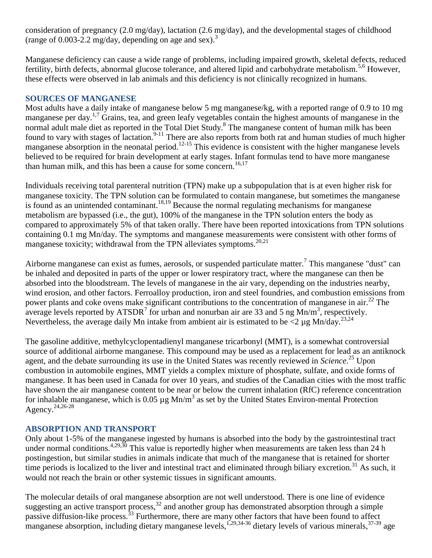consideration of pregnancy (2.0 mg/day), lactation (2.6 mg/day), and the developmental stages of childhood (range of 0.003-2.2 mg/day, depending on age and sex).<sup>3</sup>

Manganese deficiency can cause a wide range of problems, including impaired growth, skeletal defects, reduced fertility, birth defects, abnormal glucose tolerance, and altered lipid and carbohydrate metabolism.<sup>5,6</sup> However, these effects were observed in lab animals and this deficiency is not clinically recognized in humans.

## **SOURCES OF MANGANESE**

Most adults have a daily intake of manganese below 5 mg manganese/kg, with a reported range of 0.9 to 10 mg manganese per day.<sup>1,7</sup> Grains, tea, and green leafy vegetables contain the highest amounts of manganese in the normal adult male diet as reported in the Total Diet Study.<sup>8</sup> The manganese content of human milk has been found to vary with stages of lactation.<sup>9-11</sup> There are also reports from both rat and human studies of much higher manganese absorption in the neonatal period.<sup>12-15</sup> This evidence is consistent with the higher manganese levels believed to be required for brain development at early stages. Infant formulas tend to have more manganese than human milk, and this has been a cause for some concern.<sup>16,17</sup>

Individuals receiving total parenteral nutrition (TPN) make up a subpopulation that is at even higher risk for manganese toxicity. The TPN solution can be formulated to contain manganese, but sometimes the manganese is found as an unintended contaminant.<sup>18,19</sup> Because the normal regulating mechanisms for manganese metabolism are bypassed (i.e., the gut), 100% of the manganese in the TPN solution enters the body as compared to approximately 5% of that taken orally. There have been reported intoxications from TPN solutions containing 0.1 mg Mn/day. The symptoms and manganese measurements were consistent with other forms of manganese toxicity; withdrawal from the TPN alleviates symptoms.<sup>20,21</sup>

Airborne manganese can exist as fumes, aerosols, or suspended particulate matter.<sup>7</sup> This manganese "dust" can be inhaled and deposited in parts of the upper or lower respiratory tract, where the manganese can then be absorbed into the bloodstream. The levels of manganese in the air vary, depending on the industries nearby, wind erosion, and other factors. Ferroalloy production, iron and steel foundries, and combustion emissions from power plants and coke ovens make significant contributions to the concentration of manganese in air.<sup>22</sup> The average levels reported by ATSDR<sup>7</sup> for urban and nonurban air are 33 and 5 ng Mn/m<sup>3</sup>, respectively. Nevertheless, the average daily Mn intake from ambient air is estimated to be  $\langle 2 \rangle$  ug Mn/day.<sup>23,24</sup>

The gasoline additive, methylcyclopentadienyl manganese tricarbonyl (MMT), is a somewhat controversial source of additional airborne manganese. This compound may be used as a replacement for lead as an antiknock agent, and the debate surrounding its use in the United States was recently reviewed in *Science*. <sup>25</sup> Upon combustion in automobile engines, MMT yields a complex mixture of phosphate, sulfate, and oxide forms of manganese. It has been used in Canada for over 10 years, and studies of the Canadian cities with the most traffic have shown the air manganese content to be near or below the current inhalation (RfC) reference concentration for inhalable manganese, which is  $0.05 \mu g$  Mn/m<sup>3</sup> as set by the United States Environ-mental Protection Agency.24,26-28

# **ABSORPTION AND TRANSPORT**

Only about 1-5% of the manganese ingested by humans is absorbed into the body by the gastrointestinal tract under normal conditions.  $4,29,30$  This value is reportedly higher when measurements are taken less than 24 h postingestion, but similar studies in animals indicate that much of the manganese that is retained for shorter time periods is localized to the liver and intestinal tract and eliminated through biliary excretion.<sup>31</sup> As such, it would not reach the brain or other systemic tissues in significant amounts.

The molecular details of oral manganese absorption are not well understood. There is one line of evidence suggesting an active transport process,  $32$  and another group has demonstrated absorption through a simple passive diffusion-like process.<sup>33</sup> Furthermore, there are many other factors that have been found to affect manganese absorption, including dietary manganese levels,<sup>1,29,34-36</sup> dietary levels of various minerals,  $37-39$  age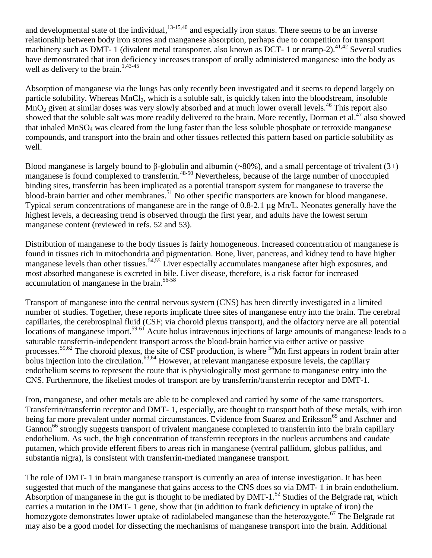and developmental state of the individual, $13-15,40$  and especially iron status. There seems to be an inverse relationship between body iron stores and manganese absorption, perhaps due to competition for transport machinery such as DMT- 1 (divalent metal transporter, also known as DCT- 1 or nramp-2).<sup>41,42</sup> Several studies have demonstrated that iron deficiency increases transport of orally administered manganese into the body as well as delivery to the brain.<sup>1,43-45</sup>

Absorption of manganese via the lungs has only recently been investigated and it seems to depend largely on particle solubility. Whereas MnCl<sub>2</sub>, which is a soluble salt, is quickly taken into the bloodstream, insoluble  $MnO<sub>2</sub>$  given at similar doses was very slowly absorbed and at much lower overall levels.<sup>46</sup> This report also showed that the soluble salt was more readily delivered to the brain. More recently, Dorman et al.<sup>47</sup> also showed that inhaled MnSO<sup>4</sup> was cleared from the lung faster than the less soluble phosphate or tetroxide manganese compounds, and transport into the brain and other tissues reflected this pattern based on particle solubility as well.

Blood manganese is largely bound to  $\beta$ -globulin and albumin (~80%), and a small percentage of trivalent (3+) manganese is found complexed to transferrin.<sup>48-50</sup> Nevertheless, because of the large number of unoccupied binding sites, transferrin has been implicated as a potential transport system for manganese to traverse the blood-brain barrier and other membranes.<sup>51</sup> No other specific transporters are known for blood manganese. Typical serum concentrations of manganese are in the range of 0.8-2.1 µg Mn/L. Neonates generally have the highest levels, a decreasing trend is observed through the first year, and adults have the lowest serum manganese content (reviewed in refs. 52 and 53).

Distribution of manganese to the body tissues is fairly homogeneous. Increased concentration of manganese is found in tissues rich in mitochondria and pigmentation. Bone, liver, pancreas, and kidney tend to have higher manganese levels than other tissues.<sup>54,55</sup> Liver especially accumulates manganese after high exposures, and most absorbed manganese is excreted in bile. Liver disease, therefore, is a risk factor for increased accumulation of manganese in the brain.<sup>56-58</sup>

Transport of manganese into the central nervous system (CNS) has been directly investigated in a limited number of studies. Together, these reports implicate three sites of manganese entry into the brain. The cerebral capillaries, the cerebrospinal fluid (CSF; via choroid plexus transport), and the olfactory nerve are all potential locations of manganese import.<sup>59-61</sup> Acute bolus intravenous injections of large amounts of manganese leads to a saturable transferrin-independent transport across the blood-brain barrier via either active or passive processes.59,62 The choroid plexus, the site of CSF production, is where <sup>54</sup>Mn first appears in rodent brain after bolus injection into the circulation.<sup>63,64</sup> However, at relevant manganese exposure levels, the capillary endothelium seems to represent the route that is physiologically most germane to manganese entry into the CNS. Furthermore, the likeliest modes of transport are by transferrin/transferrin receptor and DMT-1.

Iron, manganese, and other metals are able to be complexed and carried by some of the same transporters. Transferrin/transferrin receptor and DMT- 1, especially, are thought to transport both of these metals, with iron being far more prevalent under normal circumstances. Evidence from Suarez and Eriksson<sup>65</sup> and Aschner and Gannon<sup>66</sup> strongly suggests transport of trivalent manganese complexed to transferrin into the brain capillary endothelium. As such, the high concentration of transferrin receptors in the nucleus accumbens and caudate putamen, which provide efferent fibers to areas rich in manganese (ventral pallidum, globus pallidus, and substantia nigra), is consistent with transferrin-mediated manganese transport.

The role of DMT- 1 in brain manganese transport is currently an area of intense investigation. It has been suggested that much of the manganese that gains access to the CNS does so via DMT- 1 in brain endothelium. Absorption of manganese in the gut is thought to be mediated by DMT-1.<sup>52</sup> Studies of the Belgrade rat, which carries a mutation in the DMT- 1 gene, show that (in addition to frank deficiency in uptake of iron) the homozygote demonstrates lower uptake of radiolabeled manganese than the heterozygote.<sup>67</sup> The Belgrade rat may also be a good model for dissecting the mechanisms of manganese transport into the brain. Additional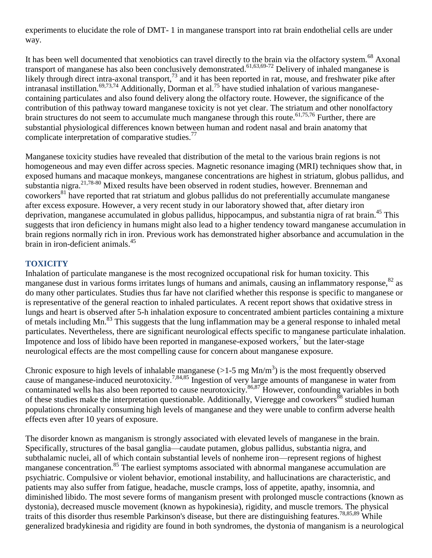experiments to elucidate the role of DMT- 1 in manganese transport into rat brain endothelial cells are under way.

It has been well documented that xenobiotics can travel directly to the brain via the olfactory system.<sup>68</sup> Axonal transport of manganese has also been conclusively demonstrated.<sup>61,63,69-72</sup> Delivery of inhaled manganese is likely through direct intra-axonal transport,<sup>73</sup> and it has been reported in rat, mouse, and freshwater pike after intranasal instillation.<sup>69,73,74</sup> Additionally, Dorman et al.<sup>75</sup> have studied inhalation of various manganesecontaining particulates and also found delivery along the olfactory route. However, the significance of the contribution of this pathway toward manganese toxicity is not yet clear. The striatum and other nonolfactory brain structures do not seem to accumulate much manganese through this route.<sup>61,75,76</sup> Further, there are substantial physiological differences known between human and rodent nasal and brain anatomy that complicate interpretation of comparative studies.<sup>77</sup>

Manganese toxicity studies have revealed that distribution of the metal to the various brain regions is not homogeneous and may even differ across species. Magnetic resonance imaging (MRI) techniques show that, in exposed humans and macaque monkeys, manganese concentrations are highest in striatum, globus pallidus, and substantia nigra.21,78-80 Mixed results have been observed in rodent studies, however. Brenneman and coworkers<sup>81</sup> have reported that rat striatum and globus pallidus do not preferentially accumulate manganese after excess exposure. However, a very recent study in our laboratory showed that, after dietary iron deprivation, manganese accumulated in globus pallidus, hippocampus, and substantia nigra of rat brain.<sup>45</sup> This suggests that iron deficiency in humans might also lead to a higher tendency toward manganese accumulation in brain regions normally rich in iron. Previous work has demonstrated higher absorbance and accumulation in the brain in iron-deficient animals.<sup>45</sup>

# **TOXICITY**

Inhalation of particulate manganese is the most recognized occupational risk for human toxicity. This manganese dust in various forms irritates lungs of humans and animals, causing an inflammatory response,<sup>82</sup> as do many other particulates. Studies thus far have not clarified whether this response is specific to manganese or is representative of the general reaction to inhaled particulates. A recent report shows that oxidative stress in lungs and heart is observed after 5-h inhalation exposure to concentrated ambient particles containing a mixture of metals including Mn.<sup>83</sup> This suggests that the lung inflammation may be a general response to inhaled metal particulates. Nevertheless, there are significant neurological effects specific to manganese particulate inhalation. Impotence and loss of libido have been reported in manganese-exposed workers, $\frac{7}{1}$  but the later-stage neurological effects are the most compelling cause for concern about manganese exposure.

Chronic exposure to high levels of inhalable manganese  $(>1.5 \text{ mg Mn/m}^3)$  is the most frequently observed cause of manganese-induced neurotoxicity.<sup>7,84,85</sup> Ingestion of very large amounts of manganese in water from contaminated wells has also been reported to cause neurotoxicity.<sup>86,87</sup> However, confounding variables in both of these studies make the interpretation questionable. Additionally, Vieregge and coworkers<sup>88</sup> studied human populations chronically consuming high levels of manganese and they were unable to confirm adverse health effects even after 10 years of exposure.

The disorder known as manganism is strongly associated with elevated levels of manganese in the brain. Specifically, structures of the basal ganglia—caudate putamen, globus pallidus, substantia nigra, and subthalamic nuclei, all of which contain substantial levels of nonheme iron—represent regions of highest manganese concentration.<sup>85</sup> The earliest symptoms associated with abnormal manganese accumulation are psychiatric. Compulsive or violent behavior, emotional instability, and hallucinations are characteristic, and patients may also suffer from fatigue, headache, muscle cramps, loss of appetite, apathy, insomnia, and diminished libido. The most severe forms of manganism present with prolonged muscle contractions (known as dystonia), decreased muscle movement (known as hypokinesia), rigidity, and muscle tremors. The physical traits of this disorder thus resemble Parkinson's disease, but there are distinguishing features.78,85,89 While generalized bradykinesia and rigidity are found in both syndromes, the dystonia of manganism is a neurological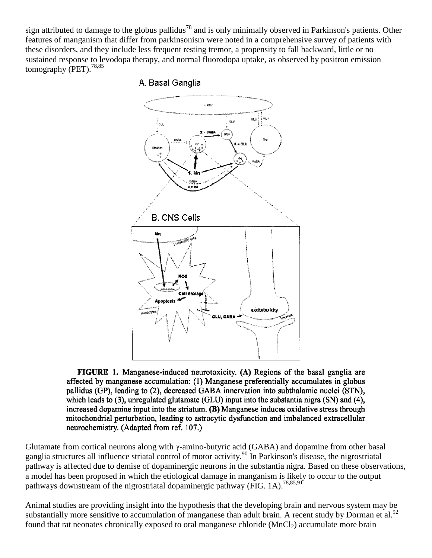sign attributed to damage to the globus pallidus<sup>78</sup> and is only minimally observed in Parkinson's patients. Other features of manganism that differ from parkinsonism were noted in a comprehensive survey of patients with these disorders, and they include less frequent resting tremor, a propensity to fall backward, little or no sustained response to levodopa therapy, and normal fluorodopa uptake, as observed by positron emission tomography (PET).<sup>78,85</sup>



# A. Basal Ganglia

FIGURE 1. Manganese-induced neurotoxicity. (A) Regions of the basal ganglia are affected by manganese accumulation; (1) Manganese preferentially accumulates in globus pallidus (GP), leading to (2), decreased GABA innervation into subthalamic nuclei (STN), which leads to (3), unregulated glutamate (GLU) input into the substantia nigra (SN) and (4), increased dopamine input into the striatum. (B) Manganese induces oxidative stress through mitochondrial perturbation, leading to astrocytic dysfunction and imbalanced extracellular neurochemistry. (Adapted from ref. 107.)

Glutamate from cortical neurons along with γ-amino-butyric acid (GABA) and dopamine from other basal ganglia structures all influence striatal control of motor activity.<sup>90</sup> In Parkinson's disease, the nigrostriatal pathway is affected due to demise of dopaminergic neurons in the substantia nigra. Based on these observations, a model has been proposed in which the etiological damage in manganism is likely to occur to the output pathways downstream of the nigrostriatal dopaminergic pathway (FIG. 1A).<sup>78,85,91</sup>

Animal studies are providing insight into the hypothesis that the developing brain and nervous system may be substantially more sensitive to accumulation of manganese than adult brain. A recent study by Dorman et al.<sup>92</sup> found that rat neonates chronically exposed to oral manganese chloride  $(MnCl<sub>2</sub>)$  accumulate more brain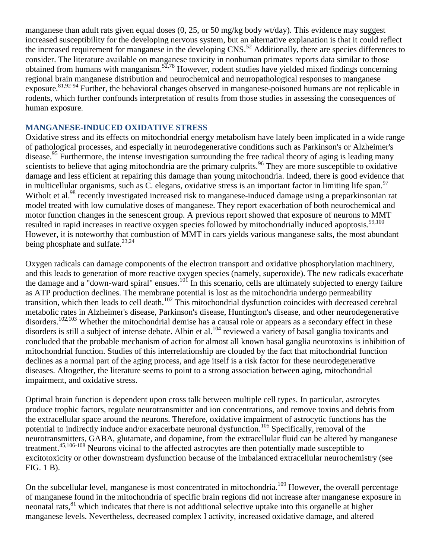manganese than adult rats given equal doses (0, 25, or 50 mg/kg body wt/day). This evidence may suggest increased susceptibility for the developing nervous system, but an alternative explanation is that it could reflect the increased requirement for manganese in the developing CNS.<sup>52</sup> Additionally, there are species differences to consider. The literature available on manganese toxicity in nonhuman primates reports data similar to those obtained from humans with manganism.<sup>52,78</sup> However, rodent studies have yielded mixed findings concerning regional brain manganese distribution and neurochemical and neuropathological responses to manganese exposure.<sup>81,92-94</sup> Further, the behavioral changes observed in manganese-poisoned humans are not replicable in rodents, which further confounds interpretation of results from those studies in assessing the consequences of human exposure.

#### **MANGANESE-INDUCED OXIDATIVE STRESS**

Oxidative stress and its effects on mitochondrial energy metabolism have lately been implicated in a wide range of pathological processes, and especially in neurodegenerative conditions such as Parkinson's or Alzheimer's disease.<sup>95</sup> Furthermore, the intense investigation surrounding the free radical theory of aging is leading many scientists to believe that aging mitochondria are the primary culprits.<sup>96</sup> They are more susceptible to oxidative damage and less efficient at repairing this damage than young mitochondria. Indeed, there is good evidence that in multicellular organisms, such as C. elegans, oxidative stress is an important factor in limiting life span.<sup>97</sup> Witholt et al.<sup>98</sup> recently investigated increased risk to manganese-induced damage using a preparkinsonian rat model treated with low cumulative doses of manganese. They report exacerbation of both neurochemical and motor function changes in the senescent group. A previous report showed that exposure of neurons to MMT resulted in rapid increases in reactive oxygen species followed by mitochondrially induced apoptosis.<sup>99,100</sup> However, it is noteworthy that combustion of MMT in cars yields various manganese salts, the most abundant being phosphate and sulfate. $^{23,24}$ 

Oxygen radicals can damage components of the electron transport and oxidative phosphorylation machinery, and this leads to generation of more reactive oxygen species (namely, superoxide). The new radicals exacerbate the damage and  $\alpha$  "down-ward spiral" ensues.<sup>101</sup> In this scenario, cells are ultimately subjected to energy failure as ATP production declines. The membrane potential is lost as the mitochondria undergo permeability transition, which then leads to cell death.<sup>102</sup> This mitochondrial dysfunction coincides with decreased cerebral metabolic rates in Alzheimer's disease, Parkinson's disease, Huntington's disease, and other neurodegenerative disorders.<sup>102,103</sup> Whether the mitochondrial demise has a causal role or appears as a secondary effect in these disorders is still a subject of intense debate. Albin et al.<sup>104</sup> reviewed a variety of basal ganglia toxicants and concluded that the probable mechanism of action for almost all known basal ganglia neurotoxins is inhibition of mitochondrial function. Studies of this interrelationship are clouded by the fact that mitochondrial function declines as a normal part of the aging process, and age itself is a risk factor for these neurodegenerative diseases. Altogether, the literature seems to point to a strong association between aging, mitochondrial impairment, and oxidative stress.

Optimal brain function is dependent upon cross talk between multiple cell types. In particular, astrocytes produce trophic factors, regulate neurotransmitter and ion concentrations, and remove toxins and debris from the extracellular space around the neurons. Therefore, oxidative impairment of astrocytic functions has the potential to indirectly induce and/or exacerbate neuronal dysfunction.<sup>105</sup> Specifically, removal of the neurotransmitters, GABA, glutamate, and dopamine, from the extracellular fluid can be altered by manganese treatment.45,106-108 Neurons vicinal to the affected astrocytes are then potentially made susceptible to excitotoxicity or other downstream dysfunction because of the imbalanced extracellular neurochemistry (see FIG. 1 B).

On the subcellular level, manganese is most concentrated in mitochondria.<sup>109</sup> However, the overall percentage of manganese found in the mitochondria of specific brain regions did not increase after manganese exposure in neonatal rats,<sup>81</sup> which indicates that there is not additional selective uptake into this organelle at higher manganese levels. Nevertheless, decreased complex I activity, increased oxidative damage, and altered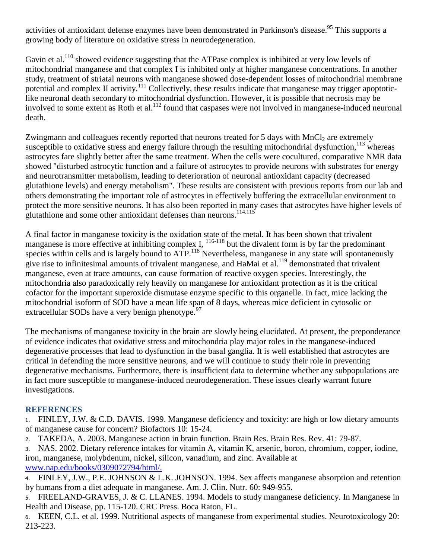activities of antioxidant defense enzymes have been demonstrated in Parkinson's disease.<sup>95</sup> This supports a growing body of literature on oxidative stress in neurodegeneration.

Gavin et al.<sup>110</sup> showed evidence suggesting that the ATPase complex is inhibited at very low levels of mitochondrial manganese and that complex I is inhibited only at higher manganese concentrations. In another study, treatment of striatal neurons with manganese showed dose-dependent losses of mitochondrial membrane potential and complex II activity.<sup>111</sup> Collectively, these results indicate that manganese may trigger apoptoticlike neuronal death secondary to mitochondrial dysfunction. However, it is possible that necrosis may be involved to some extent as Roth et al.<sup>112</sup> found that caspases were not involved in manganese-induced neuronal death.

Zwingmann and colleagues recently reported that neurons treated for 5 days with  $MnCl<sub>2</sub>$  are extremely susceptible to oxidative stress and energy failure through the resulting mitochondrial dysfunction,  $^{113}$  whereas astrocytes fare slightly better after the same treatment. When the cells were cocultured, comparative NMR data showed "disturbed astrocytic function and a failure of astrocytes to provide neurons with substrates for energy and neurotransmitter metabolism, leading to deterioration of neuronal antioxidant capacity (decreased glutathione levels) and energy metabolism". These results are consistent with previous reports from our lab and others demonstrating the important role of astrocytes in effectively buffering the extracellular environment to protect the more sensitive neurons. It has also been reported in many cases that astrocytes have higher levels of glutathione and some other antioxidant defenses than neurons.<sup>114,115</sup>

A final factor in manganese toxicity is the oxidation state of the metal. It has been shown that trivalent manganese is more effective at inhibiting complex I,  $^{116-118}$  but the divalent form is by far the predominant species within cells and is largely bound to ATP.<sup>118</sup> Nevertheless, manganese in any state will spontaneously give rise to infinitesimal amounts of trivalent manganese, and HaMai et al.<sup>119</sup> demonstrated that trivalent manganese, even at trace amounts, can cause formation of reactive oxygen species. Interestingly, the mitochondria also paradoxically rely heavily on manganese for antioxidant protection as it is the critical cofactor for the important superoxide dismutase enzyme specific to this organelle. In fact, mice lacking the mitochondrial isoform of SOD have a mean life span of 8 days, whereas mice deficient in cytosolic or extracellular SODs have a very benign phenotype.  $97$ 

The mechanisms of manganese toxicity in the brain are slowly being elucidated. At present, the preponderance of evidence indicates that oxidative stress and mitochondria play major roles in the manganese-induced degenerative processes that lead to dysfunction in the basal ganglia. It is well established that astrocytes are critical in defending the more sensitive neurons, and we will continue to study their role in preventing degenerative mechanisms. Furthermore, there is insufficient data to determine whether any subpopulations are in fact more susceptible to manganese-induced neurodegeneration. These issues clearly warrant future investigations.

# **REFERENCES**

1. FINLEY, J.W. & C.D. DAVIS. 1999. Manganese deficiency and toxicity: are high or low dietary amounts of manganese cause for concern? Biofactors 10: 15-24.

- 2. TAKEDA, A. 2003. Manganese action in brain function. Brain Res. Brain Res. Rev. 41: 79-87.
- 3. NAS. 2002. Dietary reference intakes for vitamin A, vitamin K, arsenic, boron, chromium, copper, iodine, iron, manganese, molybdenum, nickel, silicon, vanadium, and zinc. Available at [www.nap.edu/books/0309072794/html/.](http://www.nap.edu/books/0309072794/html/)
- 4. FINLEY, J.W., P.E. JOHNSON & L.K. JOHNSON. 1994. Sex affects manganese absorption and retention by humans from a diet adequate in manganese. Am. J. Clin. Nutr. 60: 949-955.
- 5. FREELAND-GRAVES, J. & C. LLANES. 1994. Models to study manganese deficiency. In Manganese in Health and Disease, pp. 115-120. CRC Press. Boca Raton, FL.
- 6. KEEN, C.L. et al. 1999. Nutritional aspects of manganese from experimental studies. Neurotoxicology 20: 213-223.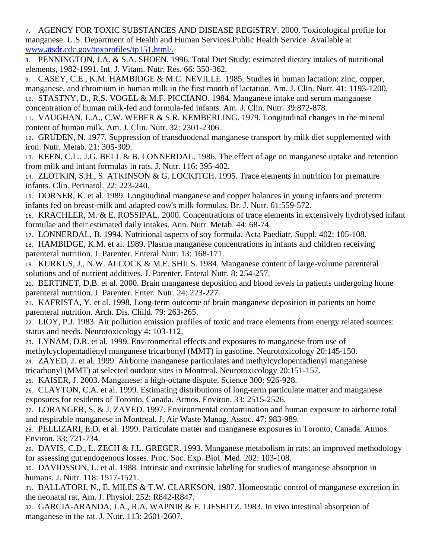7. AGENCY FOR TOXIC SUBSTANCES AND DISEASE REGISTRY. 2000. Toxicological profile for manganese. U.S. Department of Health and Human Services Public Health Service. Available at [www.atsdr.cdc.gov/toxprofiles/tp151.html/.](http://www.atsdr.cdc.gov/toxprofiles/tp151.html/)

8. PENNINGTON, J.A. & S.A. SHOEN. 1996. Total Diet Study: estimated dietary intakes of nutritional elements, 1982-1991. Int. J. Vitam. Nutr. Res. 66: 350-362.

9. CASEY, C.E., K.M. HAMBIDGE & M.C. NEVILLE. 1985. Studies in human lactation: zinc, copper, manganese, and chromium in human milk in the first month of lactation. Am. J. Clin. Nutr. 41: 1193-1200.

10. STASTNY, D., R.S. VOGEL & M.F. PICCIANO. 1984. Manganese intake and serum manganese concentration of human milk-fed and formula-fed infants. Am. J. Clin. Nutr. 39:872-878.

11. VAUGHAN, L.A., C.W. WEBER & S.R. KEMBERLING. 1979. Longitudinal changes in the mineral content of human milk. Am. J. Clin. Nutr. 32: 2301-2306.

12. GRUDEN, N. 1977. Suppression of transduodenal manganese transport by milk diet supplemented with iron. Nutr. Metab. 21: 305-309.

13. KEEN, C.L., J.G. BELL & B. LONNERDAL. 1986. The effect of age on manganese uptake and retention from milk and infant formulas in rats. J. Nutr. 116: 395-402.

14. ZLOTKIN, S.H., S. ATKINSON & G. LOCKITCH. 1995. Trace elements in nutrition for premature infants. Clin. Perinatol. 22: 223-240.

15. DORNER, K. et al. 1989. Longitudinal manganese and copper balances in young infants and preterm infants fed on breast-milk and adapted cow's milk formulas. Br. J. Nutr. 61:559-572.

16. KRACHLER, M. & E. ROSSIPAL. 2000. Concentrations of trace elements in extensively hydrolysed infant formulae and their estimated daily intakes. Ann. Nutr. Metab. 44: 68-74.

17. LONNERDAL, B. 1994. Nutritional aspects of soy formula. Acta Paediatr. Suppl. 402: 105-108. 18. HAMBIDGE, K.M. et al. 1989. Plasma manganese concentrations in infants and children receiving parenteral nutrition. J. Parenter. Enteral Nutr. 13: 168-171.

19. KURKUS, J., N.W. ALCOCK & M.E. SHILS. 1984. Manganese content of large-volume parenteral solutions and of nutrient additives. J. Parenter. Enteral Nutr. 8: 254-257.

20. BERTINET, D.B. et al. 2000. Brain manganese deposition and blood levels in patients undergoing home parenteral nutrition. J. Parenter. Enter. Nutr. 24: 223-227.

21. KAFRISTA, Y. et al. 1998. Long-term outcome of brain manganese deposition in patients on home parenteral nutrition. Arch. Dis. Child. 79: 263-265.

22. LIOY, P.J. 1983. Air pollution emission profiles of toxic and trace elements from energy related sources: status and needs. Neurotoxicology 4: 103-112.

23. LYNAM, D.R. et al. 1999. Environmental effects and exposures to manganese from use of

methylcyclopentadienyl manganese tricarbonyl (MMT) in gasoline. Neurotoxicology 20:145-150.

24. ZAYED, J. et al. 1999. Airborne manganese particulates and methylcyclopentadienyl manganese

tricarbonyl (MMT) at selected outdoor sites in Montreal. Neurotoxicology 20:151-157.

25. KAISER, J. 2003. Manganese: a high-octane dispute. Science 300: 926-928.

26. CLAYTON, C.A. et al. 1999. Estimating distributions of long-term particulate matter and manganese exposures for residents of Toronto, Canada. Atmos. Environ. 33: 2515-2526.

27. LORANGER, S. & J. ZAYED. 1997. Environmental contamination and human exposure to airborne total and respirable manganese in Montreal. J. Air Waste Manag. Assoc. 47: 983-989.

28. PELLIZARI, E.D. et al. 1999. Particulate matter and manganese exposures in Toronto, Canada. Atmos. Environ. 33: 721-734.

29. DAVIS, C.D., L. ZECH & J.L. GREGER. 1993. Manganese metabolism in rats: an improved methodology for assessing gut endogenous losses. Proc. Soc. Exp. Biol. Med. 202: 103-108.

30. DAVIDSSON, L. et al. 1988. Intrinsic and extrinsic labeling for studies of manganese absorption in humans. J. Nutr. 118: 1517-1521.

31. BALLATORI, N., E. MILES & T.W. CLARKSON. 1987. Homeostatic control of manganese excretion in the neonatal rat. Am. J. Physiol. 252: R842-R847.

32. GARCIA-ARANDA, J.A., R.A. WAPNIR & F. LIFSHITZ. 1983. In vivo intestinal absorption of manganese in the rat. J. Nutr. 113: 2601-2607.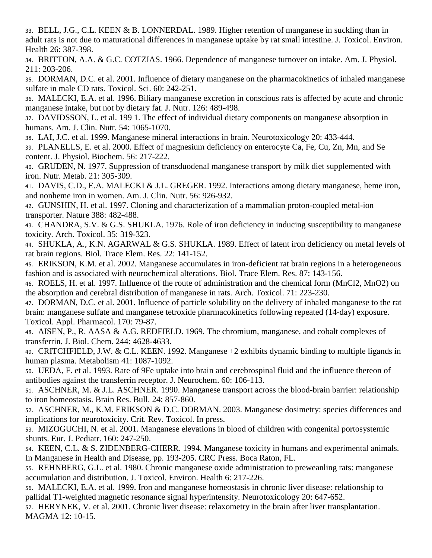33. BELL, J.G., C.L. KEEN & B. LONNERDAL. 1989. Higher retention of manganese in suckling than in adult rats is not due to maturational differences in manganese uptake by rat small intestine. J. Toxicol. Environ. Health 26: 387-398.

34. BRITTON, A.A. & G.C. COTZIAS. 1966. Dependence of manganese turnover on intake. Am. J. Physiol. 211: 203-206.

35. DORMAN, D.C. et al. 2001. Influence of dietary manganese on the pharmacokinetics of inhaled manganese sulfate in male CD rats. Toxicol. Sci. 60: 242-251.

36. MALECKI, E.A. et al. 1996. Biliary manganese excretion in conscious rats is affected by acute and chronic manganese intake, but not by dietary fat. J. Nutr. 126: 489-498.

37. DAVIDSSON, L. et al. 199 1. The effect of individual dietary components on manganese absorption in humans. Am. J. Clin. Nutr. 54: 1065-1070.

38. LAI, J.C. et al. 1999. Manganese mineral interactions in brain. Neurotoxicology 20: 433-444.

39. PLANELLS, E. et al. 2000. Effect of magnesium deficiency on enterocyte Ca, Fe, Cu, Zn, Mn, and Se content. J. Physiol. Biochem. 56: 217-222.

40. GRUDEN, N. 1977. Suppression of transduodenal manganese transport by milk diet supplemented with iron. Nutr. Metab. 21: 305-309.

41. DAVIS, C.D., E.A. MALECKI & J.L. GREGER. 1992. Interactions among dietary manganese, heme iron, and nonheme iron in women. Am. J. Clin. Nutr. 56: 926-932.

42. GUNSHIN, H. et al. 1997. Cloning and characterization of a mammalian proton-coupled metal-ion transporter. Nature 388: 482-488.

43. CHANDRA, S.V. & G.S. SHUKLA. 1976. Role of iron deficiency in inducing susceptibility to manganese toxicity. Arch. Toxicol. 35: 319-323.

44. SHUKLA, A., K.N. AGARWAL & G.S. SHUKLA. 1989. Effect of latent iron deficiency on metal levels of rat brain regions. Biol. Trace Elem. Res. 22: 141-152.

45. ERIKSON, K.M. et al. 2002. Manganese accumulates in iron-deficient rat brain regions in a heterogeneous fashion and is associated with neurochemical alterations. Biol. Trace Elem. Res. 87: 143-156.

46. ROELS, H. et al. 1997. Influence of the route of administration and the chemical form (MnCl2, MnO2) on the absorption and cerebral distribution of manganese in rats. Arch. Toxicol. 71: 223-230.

47. DORMAN, D.C. et al. 2001. Influence of particle solubility on the delivery of inhaled manganese to the rat brain: manganese sulfate and manganese tetroxide pharmacokinetics following repeated (14-day) exposure. Toxicol. Appl. Pharmacol. 170: 79-87.

48. AISEN, P., R. AASA & A.G. REDFIELD. 1969. The chromium, manganese, and cobalt complexes of transferrin. J. Biol. Chem. 244: 4628-4633.

49. CRITCHFIELD, J.W. & C.L. KEEN. 1992. Manganese +2 exhibits dynamic binding to multiple ligands in human plasma. Metabolism 41: 1087-1092.

50. UEDA, F. et al. 1993. Rate of 9Fe uptake into brain and cerebrospinal fluid and the influence thereon of antibodies against the transferrin receptor. J. Neurochem. 60: 106-113.

51. ASCHNER, M. & J.L. ASCHNER. 1990. Manganese transport across the blood-brain barrier: relationship to iron homeostasis. Brain Res. Bull. 24: 857-860.

52. ASCHNER, M., K.M. ERIKSON & D.C. DORMAN. 2003. Manganese dosimetry: species differences and implications for neurotoxicity. Crit. Rev. Toxicol. In press.

53. MIZOGUCHI, N. et al. 2001. Manganese elevations in blood of children with congenital portosystemic shunts. Eur. J. Pediatr. 160: 247-250.

54. KEEN, C.L. & S. ZIDENBERG-CHERR. 1994. Manganese toxicity in humans and experimental animals. In Manganese in Health and Disease, pp. 193-205. CRC Press. Boca Raton, FL.

55. REHNBERG, G.L. et al. 1980. Chronic manganese oxide administration to preweanling rats: manganese accumulation and distribution. J. Toxicol. Environ. Health 6: 217-226.

56. MALECKI, E.A. et al. 1999. Iron and manganese homeostasis in chronic liver disease: relationship to pallidal T1-weighted magnetic resonance signal hyperintensity. Neurotoxicology 20: 647-652.

57. HERYNEK, V. et al. 2001. Chronic liver disease: relaxometry in the brain after liver transplantation. MAGMA 12: 10-15.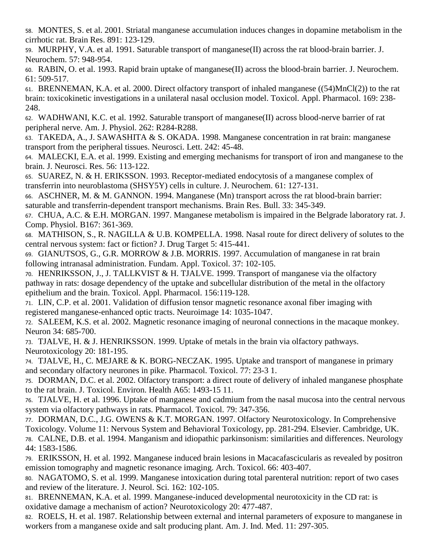58. MONTES, S. et al. 2001. Striatal manganese accumulation induces changes in dopamine metabolism in the cirrhotic rat. Brain Res. 891: 123-129.

59. MURPHY, V.A. et al. 1991. Saturable transport of manganese(II) across the rat blood-brain barrier. J. Neurochem. 57: 948-954.

60. RABIN, O. et al. 1993. Rapid brain uptake of manganese(II) across the blood-brain barrier. J. Neurochem. 61: 509-517.

61. BRENNEMAN, K.A. et al. 2000. Direct olfactory transport of inhaled manganese ((54)MnCl(2)) to the rat brain: toxicokinetic investigations in a unilateral nasal occlusion model. Toxicol. Appl. Pharmacol. 169: 238- 248.

62. WADHWANI, K.C. et al. 1992. Saturable transport of manganese(II) across blood-nerve barrier of rat peripheral nerve. Am. J. Physiol. 262: R284-R288.

63. TAKEDA, A., J. SAWASHITA & S. OKADA. 1998. Manganese concentration in rat brain: manganese transport from the peripheral tissues. Neurosci. Lett. 242: 45-48.

64. MALECKI, E.A. et al. 1999. Existing and emerging mechanisms for transport of iron and manganese to the brain. J. Neurosci. Res. 56: 113-122.

65. SUAREZ, N. & H. ERIKSSON. 1993. Receptor-mediated endocytosis of a manganese complex of transferrin into neuroblastoma (SHSY5Y) cells in culture. J. Neurochem. 61: 127-131.

66. ASCHNER, M. & M. GANNON. 1994. Manganese (Mn) transport across the rat blood-brain barrier: saturable and transferrin-dependent transport mechanisms. Brain Res. Bull. 33: 345-349.

67. CHUA, A.C. & E.H. MORGAN. 1997. Manganese metabolism is impaired in the Belgrade laboratory rat. J. Comp. Physiol. B167: 361-369.

68. MATHISON, S., R. NAGILLA & U.B. KOMPELLA. 1998. Nasal route for direct delivery of solutes to the central nervous system: fact or fiction? J. Drug Target 5: 415-441.

69. GIANUTSOS, G., G.R. MORROW & J.B. MORRIS. 1997. Accumulation of manganese in rat brain following intranasal administration. Fundam. Appl. Toxicol. 37: 102-105.

70. HENRIKSSON, J., J. TALLKVIST & H. TJALVE. 1999. Transport of manganese via the olfactory pathway in rats: dosage dependency of the uptake and subcellular distribution of the metal in the olfactory epithelium and the brain. Toxicol. Appl. Pharmacol. 156:119-128.

71. LIN, C.P. et al. 2001. Validation of diffusion tensor magnetic resonance axonal fiber imaging with registered manganese-enhanced optic tracts. Neuroimage 14: 1035-1047.

72. SALEEM, K.S. et al. 2002. Magnetic resonance imaging of neuronal connections in the macaque monkey. Neuron 34: 685-700.

73. TJALVE, H. & J. HENRIKSSON. 1999. Uptake of metals in the brain via olfactory pathways. Neurotoxicology 20: 181-195.

74. TJALVE, H., C. MEJARE & K. BORG-NECZAK. 1995. Uptake and transport of manganese in primary and secondary olfactory neurones in pike. Pharmacol. Toxicol. 77: 23-3 1.

75. DORMAN, D.C. et al. 2002. Olfactory transport: a direct route of delivery of inhaled manganese phosphate to the rat brain. J. Toxicol. Environ. Health A65: 1493-15 11.

76. TJALVE, H. et al. 1996. Uptake of manganese and cadmium from the nasal mucosa into the central nervous system via olfactory pathways in rats. Pharmacol. Toxicol. 79: 347-356.

77. DORMAN, D.C., J.G. OWENS & K.T. MORGAN. 1997. Olfactory Neurotoxicology. In Comprehensive Toxicology. Volume 11: Nervous System and Behavioral Toxicology, pp. 281-294. Elsevier. Cambridge, UK. 78. CALNE, D.B. et al. 1994. Manganism and idiopathic parkinsonism: similarities and differences. Neurology 44: 1583-1586.

79. ERIKSSON, H. et al. 1992. Manganese induced brain lesions in Macacafascicularis as revealed by positron emission tomography and magnetic resonance imaging. Arch. Toxicol. 66: 403-407.

80. NAGATOMO, S. et al. 1999. Manganese intoxication during total parenteral nutrition: report of two cases and review of the literature. J. Neurol. Sci. 162: 102-105.

81. BRENNEMAN, K.A. et al. 1999. Manganese-induced developmental neurotoxicity in the CD rat: is oxidative damage a mechanism of action? Neurotoxicology 20: 477-487.

82. ROELS, H. et al. 1987. Relationship between external and internal parameters of exposure to manganese in workers from a manganese oxide and salt producing plant. Am. J. Ind. Med. 11: 297-305.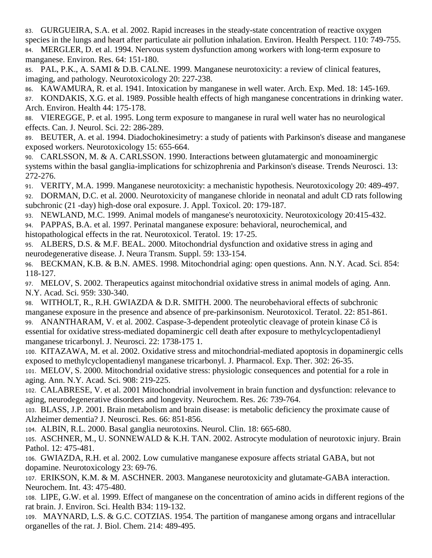83. GURGUEIRA, S.A. et al. 2002. Rapid increases in the steady-state concentration of reactive oxygen species in the lungs and heart after particulate air pollution inhalation. Environ. Health Perspect. 110: 749-755. 84. MERGLER, D. et al. 1994. Nervous system dysfunction among workers with long-term exposure to manganese. Environ. Res. 64: 151-180.

85. PAL, P.K., A. SAMI & D.B. CALNE. 1999. Manganese neurotoxicity: a review of clinical features, imaging, and pathology. Neurotoxicology 20: 227-238.

86. KAWAMURA, R. et al. 1941. Intoxication by manganese in well water. Arch. Exp. Med. 18: 145-169. 87. KONDAKIS, X.G. et al. 1989. Possible health effects of high manganese concentrations in drinking water. Arch. Environ. Health 44: 175-178.

88. VIEREGGE, P. et al. 1995. Long term exposure to manganese in rural well water has no neurological effects. Can. J. Neurol. Sci. 22: 286-289.

89. BEUTER, A. et al. 1994. Diadochokinesimetry: a study of patients with Parkinson's disease and manganese exposed workers. Neurotoxicology 15: 655-664.

90. CARLSSON, M. & A. CARLSSON. 1990. Interactions between glutamatergic and monoaminergic systems within the basal ganglia-implications for schizophrenia and Parkinson's disease. Trends Neurosci. 13: 272-276.

91. VERITY, M.A. 1999. Manganese neurotoxicity: a mechanistic hypothesis. Neurotoxicology 20: 489-497. 92. DORMAN, D.C. et al. 2000. Neurotoxicity of manganese chloride in neonatal and adult CD rats following subchronic (21 -day) high-dose oral exposure. J. Appl. Toxicol. 20: 179-187.

93. NEWLAND, M.C. 1999. Animal models of manganese's neurotoxicity. Neurotoxicology 20:415-432.

94. PAPPAS, B.A. et al. 1997. Perinatal manganese exposure: behavioral, neurochemical, and

histopathological effects in the rat. Neurotoxicol. Teratol. 19: 17-25.

95. ALBERS, D.S. & M.F. BEAL. 2000. Mitochondrial dysfunction and oxidative stress in aging and neurodegenerative disease. J. Neura Transm. Suppl. 59: 133-154.

96. BECKMAN, K.B. & B.N. AMES. 1998. Mitochondrial aging: open questions. Ann. N.Y. Acad. Sci. 854: 118-127.

97. MELOV, S. 2002. Therapeutics against mitochondrial oxidative stress in animal models of aging. Ann. N.Y. Acad. Sci. 959: 330-340.

WITHOLT, R., R.H. GWIAZDA & D.R. SMITH. 2000. The neurobehavioral effects of subchronic manganese exposure in the presence and absence of pre-parkinsonism. Neurotoxicol. Teratol. 22: 851-861. 99. ANANTHARAM, V. et al. 2002. Caspase-3-dependent proteolytic cleavage of protein kinase Cδ is essential for oxidative stress-mediated dopaminergic cell death after exposure to methylcyclopentadienyl manganese tricarbonyl. J. Neurosci. 22: 1738-175 1.

100. KITAZAWA, M. et al. 2002. Oxidative stress and mitochondrial-mediated apoptosis in dopaminergic cells exposed to methylcyclopentadienyl manganese tricarbonyl. J. Pharmacol. Exp. Ther. 302: 26-35.

101. MELOV, S. 2000. Mitochondrial oxidative stress: physiologic consequences and potential for a role in aging. Ann. N.Y. Acad. Sci. 908: 219-225.

102. CALABRESE, V. et al. 2001 Mitochondrial involvement in brain function and dysfunction: relevance to aging, neurodegenerative disorders and longevity. Neurochem. Res. 26: 739-764.

103. BLASS, J.P. 2001. Brain metabolism and brain disease: is metabolic deficiency the proximate cause of Alzheimer dementia? J. Neurosci. Res. 66: 851-856.

104. ALBIN, R.L. 2000. Basal ganglia neurotoxins. Neurol. Clin. 18: 665-680.

105. ASCHNER, M., U. SONNEWALD & K.H. TAN. 2002. Astrocyte modulation of neurotoxic injury. Brain Pathol. 12: 475-481.

106. GWIAZDA, R.H. et al. 2002. Low cumulative manganese exposure affects striatal GABA, but not dopamine. Neurotoxicology 23: 69-76.

107. ERIKSON, K.M. & M. ASCHNER. 2003. Manganese neurotoxicity and glutamate-GABA interaction. Neurochem. Int. 43: 475-480.

108. LIPE, G.W. et al. 1999. Effect of manganese on the concentration of amino acids in different regions of the rat brain. J. Environ. Sci. Health B34: 119-132.

109. MAYNARD, L.S. & G.C. COTZIAS. 1954. The partition of manganese among organs and intracellular organelles of the rat. J. Biol. Chem. 214: 489-495.